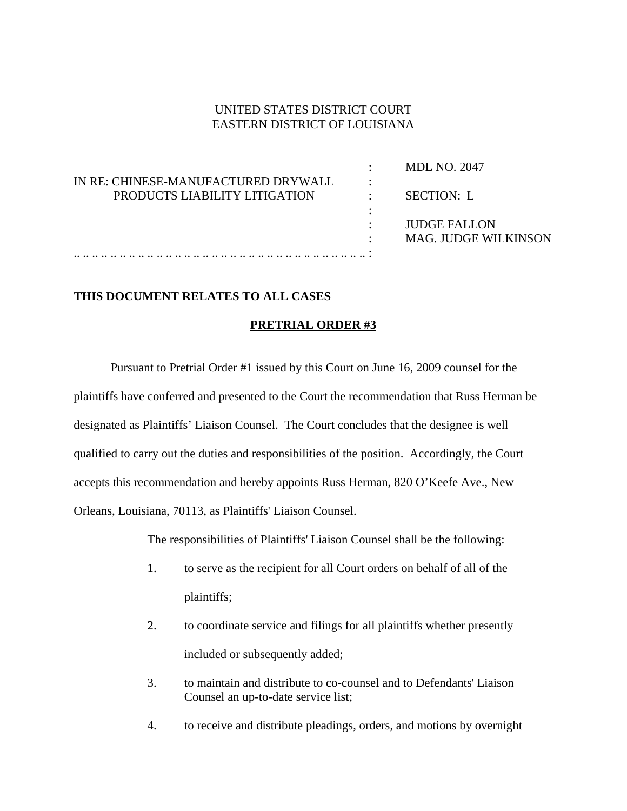## UNITED STATES DISTRICT COURT EASTERN DISTRICT OF LOUISIANA

|                                     |   | <b>MDL NO. 2047</b>         |
|-------------------------------------|---|-----------------------------|
| IN RE: CHINESE-MANUFACTURED DRYWALL | ٠ |                             |
| PRODUCTS LIABILITY LITIGATION       |   | SECTION: L                  |
|                                     |   |                             |
|                                     |   | JUDGE FALLON                |
|                                     | ٠ | <b>MAG. JUDGE WILKINSON</b> |
|                                     |   |                             |

## **THIS DOCUMENT RELATES TO ALL CASES**

## **PRETRIAL ORDER #3**

Pursuant to Pretrial Order #1 issued by this Court on June 16, 2009 counsel for the plaintiffs have conferred and presented to the Court the recommendation that Russ Herman be designated as Plaintiffs' Liaison Counsel. The Court concludes that the designee is well qualified to carry out the duties and responsibilities of the position. Accordingly, the Court accepts this recommendation and hereby appoints Russ Herman, 820 O'Keefe Ave., New Orleans, Louisiana, 70113, as Plaintiffs' Liaison Counsel.

The responsibilities of Plaintiffs' Liaison Counsel shall be the following:

- 1. to serve as the recipient for all Court orders on behalf of all of the plaintiffs;
- 2. to coordinate service and filings for all plaintiffs whether presently included or subsequently added;
- 3. to maintain and distribute to co-counsel and to Defendants' Liaison Counsel an up-to-date service list;
- 4. to receive and distribute pleadings, orders, and motions by overnight